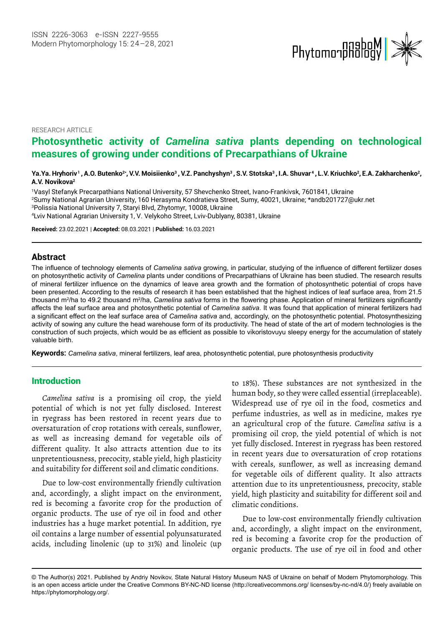

RESEARCH ARTICLE

# **Photosynthetic activity of** *Camelina sativa* **plants depending on technological measures of growing under conditions of Precarpathians of Ukraine**

Ya.Ya. Hryhoriv<sup>1</sup> , A.O. Butenko<sup>2</sup>\*, V.V. Moisiienko<sup>3</sup> , V.Z. Panchyshyn<sup>3</sup> , S.V. Stotska<sup>3</sup> , I.A. Shuvar<sup>4</sup> , L.V. Kriuchko<sup>2</sup>, E.A. Zakharchenko<sup>2</sup>, **A.V. Novikova2**

1Vasyl Stefanyk Precarpathians National University, 57 Shevchenko Street, Ivano-Frankivsk, 7601841, Ukraine 2 Sumy National Agrarian University, 160 Herasyma Kondratieva Street, Sumy, 40021, Ukr[aine; \\*andb201727@u](file:///C:\Users\ruhi_b\AppData\Local\Microsoft\Windows\INetCache\Content.Outlook\TMW6YN4L\andb201727@ukr.net)kr.net 3Polissia National University 7, Staryi Blvd, Zhytomyr, 10008, Ukraine 4 Lviv National Agrarian University 1, V. Velykoho Street, Lviv-Dublyany, 80381, Ukraine

**Received:** 23.02.2021 | **Accepted:** 08.03.2021 | **Published:** 16.03.2021

## **Abstract**

The influence of technology elements of *Camelina sativa* growing, in particular, studying of the influence of different fertilizer doses on photosynthetic activity of *Camelina* plants under conditions of Precarpathians of Ukraine has been studied. The research results of mineral fertilizer influence on the dynamics of leave area growth and the formation of photosynthetic potential of crops have been presented. According to the results of research it has been established that the highest indices of leaf surface area, from 21.5 thousand m<sup>2</sup>/ha to 49.2 thousand m<sup>2</sup>/ha, *Camelina sativa* forms in the flowering phase. Application of mineral fertilizers significantly affects the leaf surface area and photosynthetic potential of *Camelina sativa*. It was found that application of mineral fertilizers had a significant effect on the leaf surface area of *Camelina sativa* and, accordingly, on the photosynthetic potential. Photosynthesizing activity of sowing any culture the head warehouse form of its productivity. The head of state of the art of modern technologies is the construction of such projects, which would be as efficient as possible to vikoristovuyu sleepy energy for the accumulation of stately valuable birth.

**Keywords:** *Camelina sativa*, mineral fertilizers, leaf area, photosynthetic potential, pure photosynthesis productivity

## Introduction

*Camelina sativa* is a promising oil crop, the yield potential of which is not yet fully disclosed. Interest in ryegrass has been restored in recent years due to oversaturation of crop rotations with cereals, sunflower, as well as increasing demand for vegetable oils of different quality. It also attracts attention due to its unpretentiousness, precocity, stable yield, high plasticity and suitability for different soil and climatic conditions.

Due to low-cost environmentally friendly cultivation and, accordingly, a slight impact on the environment, red is becoming a favorite crop for the production of organic products. The use of rye oil in food and other industries has a huge market potential. In addition, rye oil contains a large number of essential polyunsaturated acids, including linolenic (up to 31%) and linoleic (up

to 18%). These substances are not synthesized in the human body, so they were called essential (irreplaceable). Widespread use of rye oil in the food, cosmetics and perfume industries, as well as in medicine, makes rye an agricultural crop of the future. *Camelina sativa* is a promising oil crop, the yield potential of which is not yet fully disclosed. Interest in ryegrass has been restored in recent years due to oversaturation of crop rotations with cereals, sunflower, as well as increasing demand for vegetable oils of different quality. It also attracts attention due to its unpretentiousness, precocity, stable yield, high plasticity and suitability for different soil and climatic conditions.

Due to low-cost environmentally friendly cultivation and, accordingly, a slight impact on the environment, red is becoming a favorite crop for the production of organic products. The use of rye oil in food and other

<sup>©</sup> The Author(s) 2021. Published by Andriy Novikov, State Natural History Museum NAS of Ukraine on behalf of Modern Phytomorphology. This is an open access article under the Creative Commons BY-NC-ND license (http://creativecommons.org/ licenses/by-nc-nd/4.0/) freely available on https://phytomorphology.org/.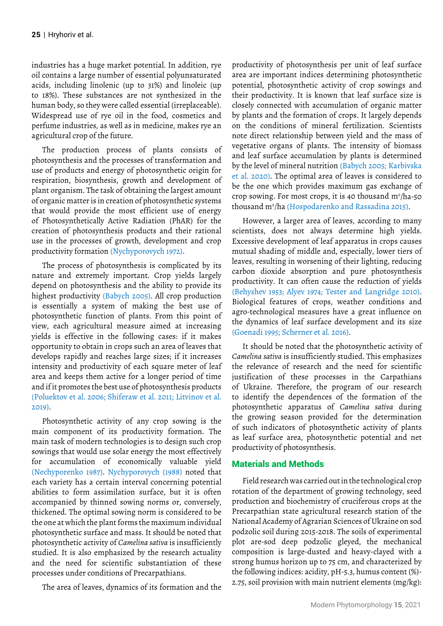industries has a huge market potential. In addition, rye oil contains a large number of essential polyunsaturated acids, including linolenic (up to 31%) and linoleic (up to 18%). These substances are not synthesized in the human body, so they were called essential (irreplaceable). Widespread use of rye oil in the food, cosmetics and perfume industries, as well as in medicine, makes rye an agricultural crop of the future.

The production process of plants consists of photosynthesis and the processes of transformation and use of products and energy of photosynthetic origin for respiration, biosynthesis, growth and development of plant organism. The task of obtaining the largest amount of organic matter is in creation of photosynthetic systems that would provide the most efficient use of energy of Photosynthetically Active Radiation (PhAR) for the creation of photosynthesis products and their rational use in the processes of growth, development and crop productivity formation (Nychyporovych 1972).

The process of photosynthesis is complicated by its nature and extremely important. Crop yields largely depend on photosynthesis and the ability to provide its highest productivity (Babych 2005). All crop production is essentially a system of making the best use of photosynthetic function of plants. From this point of view, each agricultural measure aimed at increasing yields is effective in the following cases: if it makes opportunity to obtain in crops such an area of leaves that develops rapidly and reaches large sizes; if it increases intensity and productivity of each square meter of leaf area and keeps them active for a longer period of time and if it promotes the best use of photosynthesis products (Poluektov et al. 2006; Shiferaw et al. 2011; Litvinov et al. 2019).

Photosynthetic activity of any crop sowing is the main component of its productivity formation. The main task of modern technologies is to design such crop sowings that would use solar energy the most effectively for accumulation of economically valuable yield (Nechyporenko 1987). Nychyporovych (1988) noted that each variety has a certain interval concerning potential abilities to form assimilation surface, but it is often accompanied by thinned sowing norms or, conversely, thickened. The optimal sowing norm is considered to be the one at which the plant forms the maximum individual photosynthetic surface and mass. It should be noted that photosynthetic activity of *Camelina sativa* is insufficiently studied. It is also emphasized by the research actuality and the need for scientific substantiation of these processes under conditions of Precarpathians.

The area of leaves, dynamics of its formation and the

productivity of photosynthesis per unit of leaf surface area are important indices determining photosynthetic potential, photosynthetic activity of crop sowings and their productivity. It is known that leaf surface size is closely connected with accumulation of organic matter by plants and the formation of crops. It largely depends on the conditions of mineral fertilization. Scientists note direct relationship between yield and the mass of vegetative organs of plants. The intensity of biomass and leaf surface accumulation by plants is determined by the level of mineral nutrition (Babych 2005; Karbivska et al. 2020). The optimal area of leaves is considered to be the one which provides maximum gas exchange of crop sowing. For most crops, it is 40 thousand  $m^2/h$ a-50 thousand m2 /ha (Hospodarenko and Rassadina 2015).

However, a larger area of leaves, according to many scientists, does not always determine high yields. Excessive development of leaf apparatus in crops causes mutual shading of middle and, especially, lower tiers of leaves, resulting in worsening of their lighting, reducing carbon dioxide absorption and pure photosynthesis productivity. It can often cause the reduction of yields (Behyshev 1953; Alyev 1974; Tester and Langridge 2010). Biological features of crops, weather conditions and agro-technological measures have a great influence on the dynamics of leaf surface development and its size (Goenadi 1995; Scherner et al. 2016).

It should be noted that the photosynthetic activity of *Camelina sativa* is insufficiently studied. This emphasizes the relevance of research and the need for scientific justification of these processes in the Carpathians of Ukraine. Therefore, the program of our research to identify the dependences of the formation of the photosynthetic apparatus of *Camelina sativa* during the growing season provided for the determination of such indicators of photosynthetic activity of plants as leaf surface area, photosynthetic potential and net productivity of photosynthesis.

## Materials and Methods

Field research was carried out in the technological crop rotation of the department of growing technology, seed production and biochemistry of cruciferous crops at the Precarpathian state agricultural research station of the National Academy of Agrarian Sciences of Ukraine on sod podzolic soil during 2015-2018. The soils of experimental plot are-sod deep podzolic gleyed, the mechanical composition is large-dusted and heavy-clayed with a strong humus horizon up to 75 cm, and characterized by the following indices: acidity, pH-5.3, humus content (%)- 2.75, soil provision with main nutrient elements (mg/kg):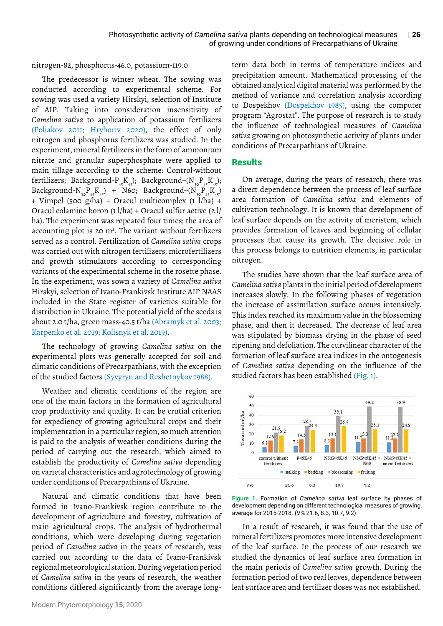nitrogen-82, phosphorus-46.0, potassium-119.0

The predecessor is winter wheat. The sowing was conducted according to experimental scheme. For sowing was used a variety Hirskyi, selection of Institute of AIP. Taking into consideration insensitivity of *Camelina sativa* to application of potassium fertilizers (Poliakov 2011; Hryhoriv 2020), the effect of only nitrogen and phosphorus fertilizers was studied. In the experiment, mineral fertilizers in the form of ammonium nitrate and granular superphosphate were applied to main tillage according to the scheme: Control-without fertilizers; Background- $P_{45}K_{45}$ ); Background- $(N_{30}P_{45}K_{45})$ ; Background-N<sub>30</sub>P<sub>45</sub>K<sub>45</sub>) + N60; Background–(N<sub>30</sub>P<sub>45</sub>K<sub>45</sub>) + Vimpel (500 g/ha) + Oracul multicomplex (1 l/ha) + Oracul colamine boron (1 l/ha) + Oracul sulfur active (2 l/ ha). The experiment was repeated four times; the area of accounting plot is 20  $m<sup>2</sup>$ . The variant without fertilizers served as a control. Fertilization of *Camelina sativa* crops was carried out with nitrogen fertilizers, microfertilizers and growth stimulators according to corresponding variants of the experimental scheme in the rosette phase. In the experiment, was sown a variety of *Camelina sativa* Hirskyi, selection of Ivano-Frankivsk Institute AIP NAAS included in the State register of varieties suitable for distribution in Ukraine. The potential yield of the seeds is about 2.0 t/ha, green mass-40.5 t/ha (Abramyk et al. 2003; Karpenko et al. 2019; Kolisnyk et al. 2019).

The technology of growing *Camelina sativa* on the experimental plots was generally accepted for soil and climatic conditions of Precarpathians, with the exception of the studied factors (Syvyryn and Reshetnykov 1988).

Weather and climatic conditions of the region are one of the main factors in the formation of agricultural crop productivity and quality. It can be crutial criterion for expediency of growing agricultural crops and their implementation in a particular region, so much attention is paid to the analysis of weather conditions during the period of carrying out the research, which aimed to establish the productivity of *Camelina sativa* depending on varietal characteristics and agrotechnology of growing under conditions of Precarpathians of Ukraine.

Natural and climatic conditions that have been formed in Ivano-Frankivsk region contribute to the development of agriculture and forestry, cultivation of main agricultural crops. The analysis of hydrothermal conditions, which were developing during vegetation period of *Camelina sativa* in the years of research, was carried out according to the data of Ivano-Frankivsk regional meteorological station. During vegetation period of *Camelina sativa* in the years of research, the weather conditions differed significantly from the average longterm data both in terms of temperature indices and precipitation amount. Mathematical processing of the obtained analytical digital material was performed by the method of variance and correlation analysis according to Dospekhov (Dospekhov 1985), using the computer program "Agrostat". The purpose of research is to study the influence of technological measures of *Camelina sativa* growing on photosynthetic activity of plants under conditions of Precarpathians of Ukraine.

## **Results**

On average, during the years of research, there was a direct dependence between the process of leaf surface area formation of *Camelina sativa* and elements of cultivation technology. It is known that development of leaf surface depends on the activity of meristem, which provides formation of leaves and beginning of cellular processes that cause its growth. The decisive role in this process belongs to nutrition elements, in particular nitrogen.

The studies have shown that the leaf surface area of *Camelina sativa* plants in the initial period of development increases slowly. In the following phases of vegetation the increase of assimilation surface occurs intensively. This index reached its maximum value in the blossoming phase, and then it decreased. The decrease of leaf area was stipulated by biomass drying in the phase of seed ripening and defoliation. The curvilinear character of the formation of leaf surface area indices in the ontogenesis of *Camelina sativa* depending on the influence of the studied factors has been established (Fig. 1).



**Figure 1.** Formation of *Camelina sativa* leaf surface by phases of development depending on different technological measures of growing, average for 2015-2018. (V% 21.6, 8.3, 10.7, 9.2)

In a result of research, it was found that the use of mineral fertilizers promotes more intensive development of the leaf surface. In the process of our research we studied the dynamics of leaf surface area formation in the main periods of *Camelina sativa* growth. During the formation period of two real leaves, dependence between leaf surface area and fertilizer doses was not established.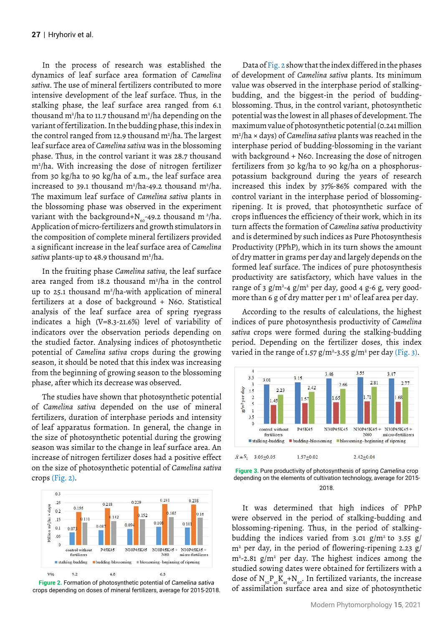In the process of research was established the dynamics of leaf surface area formation of *Camelina sativa*. The use of mineral fertilizers contributed to more intensive development of the leaf surface. Thus, in the stalking phase, the leaf surface area ranged from 6.1 thousand m<sup>2</sup>/ha to 11.7 thousand m<sup>2</sup>/ha depending on the variant of fertilization. In the budding phase, this index in the control ranged from 12.9 thousand m<sup>2</sup>/ha. The largest leaf surface area of *Camelina sativa* was in the blossoming phase. Thus, in the control variant it was 28.7 thousand m2 /ha. With increasing the dose of nitrogen fertilizer from 30 kg/ha to 90 kg/ha of a.m., the leaf surface area increased to 39.1 thousand  $m^2/h$ a-49.2 thousand  $m^2/h$ a. The maximum leaf surface of *Camelina sativa* plants in the blossoming phase was observed in the experiment variant with the background+N $_{\rm{so}}$ -49.2 thousand m  $^2$ /ha. Application of micro-fertilizers and growth stimulators in the composition of complete mineral fertilizers provided a significant increase in the leaf surface area of *Camelina sativa* plants-up to 48.9 thousand m2 /ha.

In the fruiting phase *Camelina sativa*, the leaf surface area ranged from 18.2 thousand  $m^2/h$ a in the control up to 25.1 thousand  $m^2/h$ a-with application of mineral fertilizers at a dose of background + N60. Statistical analysis of the leaf surface area of spring ryegrass indicates a high (V=8.3-21.6%) level of variability of indicators over the observation periods depending on the studied factor. Analysing indices of photosynthetic potential of *Camelina sativa* crops during the growing season, it should be noted that this index was increasing from the beginning of growing season to the blossoming phase, after which its decrease was observed.

The studies have shown that photosynthetic potential of *Camelina sativa* depended on the use of mineral fertilizers, duration of interphase periods and intensity of leaf apparatus formation. In general, the change in the size of photosynthetic potential during the growing season was similar to the change in leaf surface area. An increase of nitrogen fertilizer doses had a positive effect on the size of photosynthetic potential of *Camelina sativa* crops (Fig. 2).



**Figure 2.** Formation of photosynthetic potential of *Camelina sativa* crops depending on doses of mineral fertilizers, average for 2015-2018.

Data of Fig. 2 show that the index differed in the phases of development of *Camelina sativa* plants. Its minimum value was observed in the interphase period of stalkingbudding, and the biggest-in the period of buddingblossoming. Thus, in the control variant, photosynthetic potential was the lowest in all phases of development. The maximum value of photosynthetic potential (0.241 million m2 /ha × days) of *Camelina sativa* plants was reached in the interphase period of budding-blossoming in the variant with background + N60. Increasing the dose of nitrogen fertilizers from 30 kg/ha to 90 kg/ha on a phosphoruspotassium background during the years of research increased this index by 37%-86% compared with the control variant in the interphase period of blossomingripening. It is proved, that photosynthetic surface of crops influences the efficiency of their work, which in its turn affects the formation of *Camelina sativa* productivity and is determined by such indices as Pure Photosynthesis Productivity (PPhP), which in its turn shows the amount of dry matter in grams per day and largely depends on the formed leaf surface. The indices of pure photosynthesis productivity are satisfactory, which have values in the range of 3  $g/m^2$ -4  $g/m^2$  per day, good 4 g-6 g, very goodmore than 6 g of dry matter per 1  $m<sup>2</sup>$  of leaf area per day.

According to the results of calculations, the highest indices of pure photosynthesis productivity of *Camelina sativa* crops were formed during the stalking-budding period. Depending on the fertilizer doses, this index varied in the range of 1.57  $g/m^2$ -3.55  $g/m^2$  per day (Fig. 3).



**Figure 3.** Pure productivity of photosynthesis of spring *Camelina* crop depending on the elements of cultivation technology, average for 2015- 2018.

It was determined that high indices of PPhP were observed in the period of stalking-budding and blossoming-ripening. Thus, in the period of stalkingbudding the indices varied from 3.01 g/m<sup>2</sup> to 3.55 g/ m2 per day, in the period of flowering-ripening 2.23 g/  $m^2$ -2.81 g/m<sup>2</sup> per day. The highest indices among the studied sowing dates were obtained for fertilizers with a dose of  $N_{30}P_{45}K_{45}+N_{60}$ . In fertilized variants, the increase of assimilation surface area and size of photosynthetic